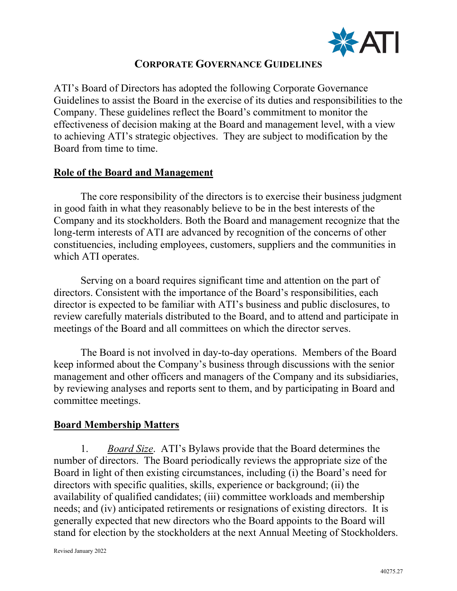

# **CORPORATE GOVERNANCE GUIDELINES**

ATI's Board of Directors has adopted the following Corporate Governance Guidelines to assist the Board in the exercise of its duties and responsibilities to the Company. These guidelines reflect the Board's commitment to monitor the effectiveness of decision making at the Board and management level, with a view to achieving ATI's strategic objectives. They are subject to modification by the Board from time to time.

#### **Role of the Board and Management**

The core responsibility of the directors is to exercise their business judgment in good faith in what they reasonably believe to be in the best interests of the Company and its stockholders. Both the Board and management recognize that the long-term interests of ATI are advanced by recognition of the concerns of other constituencies, including employees, customers, suppliers and the communities in which ATI operates.

Serving on a board requires significant time and attention on the part of directors. Consistent with the importance of the Board's responsibilities, each director is expected to be familiar with ATI's business and public disclosures, to review carefully materials distributed to the Board, and to attend and participate in meetings of the Board and all committees on which the director serves.

The Board is not involved in day-to-day operations. Members of the Board keep informed about the Company's business through discussions with the senior management and other officers and managers of the Company and its subsidiaries, by reviewing analyses and reports sent to them, and by participating in Board and committee meetings.

### **Board Membership Matters**

1. *Board Size*. ATI's Bylaws provide that the Board determines the number of directors. The Board periodically reviews the appropriate size of the Board in light of then existing circumstances, including (i) the Board's need for directors with specific qualities, skills, experience or background; (ii) the availability of qualified candidates; (iii) committee workloads and membership needs; and (iv) anticipated retirements or resignations of existing directors. It is generally expected that new directors who the Board appoints to the Board will stand for election by the stockholders at the next Annual Meeting of Stockholders.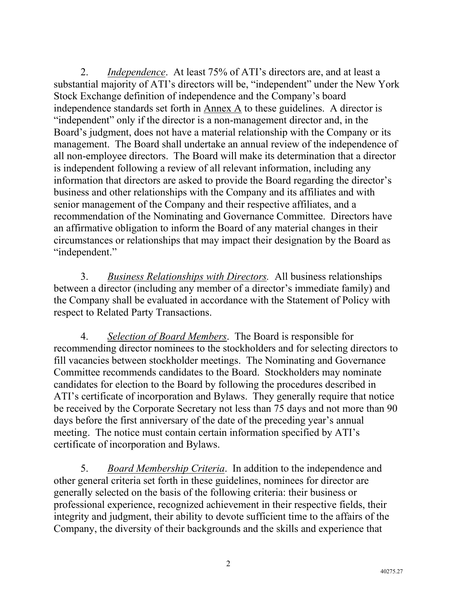2. *Independence*. At least 75% of ATI's directors are, and at least a substantial majority of ATI's directors will be, "independent" under the New York Stock Exchange definition of independence and the Company's board independence standards set forth in Annex A to these guidelines. A director is "independent" only if the director is a non-management director and, in the Board's judgment, does not have a material relationship with the Company or its management. The Board shall undertake an annual review of the independence of all non-employee directors. The Board will make its determination that a director is independent following a review of all relevant information, including any information that directors are asked to provide the Board regarding the director's business and other relationships with the Company and its affiliates and with senior management of the Company and their respective affiliates, and a recommendation of the Nominating and Governance Committee. Directors have an affirmative obligation to inform the Board of any material changes in their circumstances or relationships that may impact their designation by the Board as "independent."

3. *Business Relationships with Directors.* All business relationships between a director (including any member of a director's immediate family) and the Company shall be evaluated in accordance with the Statement of Policy with respect to Related Party Transactions.

4. *Selection of Board Members*. The Board is responsible for recommending director nominees to the stockholders and for selecting directors to fill vacancies between stockholder meetings. The Nominating and Governance Committee recommends candidates to the Board. Stockholders may nominate candidates for election to the Board by following the procedures described in ATI's certificate of incorporation and Bylaws. They generally require that notice be received by the Corporate Secretary not less than 75 days and not more than 90 days before the first anniversary of the date of the preceding year's annual meeting. The notice must contain certain information specified by ATI's certificate of incorporation and Bylaws.

5. *Board Membership Criteria*. In addition to the independence and other general criteria set forth in these guidelines, nominees for director are generally selected on the basis of the following criteria: their business or professional experience, recognized achievement in their respective fields, their integrity and judgment, their ability to devote sufficient time to the affairs of the Company, the diversity of their backgrounds and the skills and experience that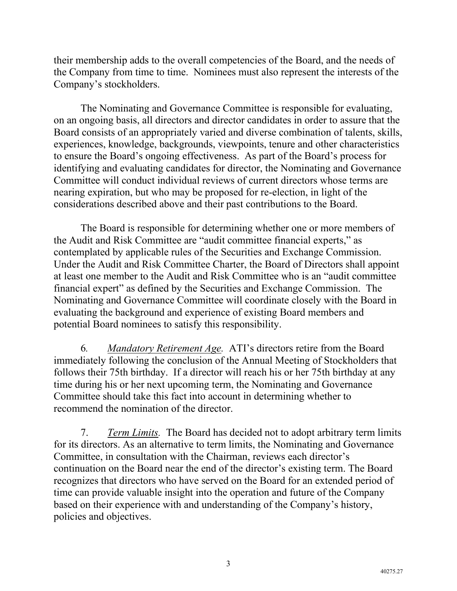their membership adds to the overall competencies of the Board, and the needs of the Company from time to time. Nominees must also represent the interests of the Company's stockholders.

The Nominating and Governance Committee is responsible for evaluating, on an ongoing basis, all directors and director candidates in order to assure that the Board consists of an appropriately varied and diverse combination of talents, skills, experiences, knowledge, backgrounds, viewpoints, tenure and other characteristics to ensure the Board's ongoing effectiveness. As part of the Board's process for identifying and evaluating candidates for director, the Nominating and Governance Committee will conduct individual reviews of current directors whose terms are nearing expiration, but who may be proposed for re-election, in light of the considerations described above and their past contributions to the Board.

The Board is responsible for determining whether one or more members of the Audit and Risk Committee are "audit committee financial experts," as contemplated by applicable rules of the Securities and Exchange Commission. Under the Audit and Risk Committee Charter, the Board of Directors shall appoint at least one member to the Audit and Risk Committee who is an "audit committee financial expert" as defined by the Securities and Exchange Commission. The Nominating and Governance Committee will coordinate closely with the Board in evaluating the background and experience of existing Board members and potential Board nominees to satisfy this responsibility.

6*. Mandatory Retirement Age.* ATI's directors retire from the Board immediately following the conclusion of the Annual Meeting of Stockholders that follows their 75th birthday. If a director will reach his or her 75th birthday at any time during his or her next upcoming term, the Nominating and Governance Committee should take this fact into account in determining whether to recommend the nomination of the director.

7. *Term Limits.* The Board has decided not to adopt arbitrary term limits for its directors. As an alternative to term limits, the Nominating and Governance Committee, in consultation with the Chairman, reviews each director's continuation on the Board near the end of the director's existing term. The Board recognizes that directors who have served on the Board for an extended period of time can provide valuable insight into the operation and future of the Company based on their experience with and understanding of the Company's history, policies and objectives.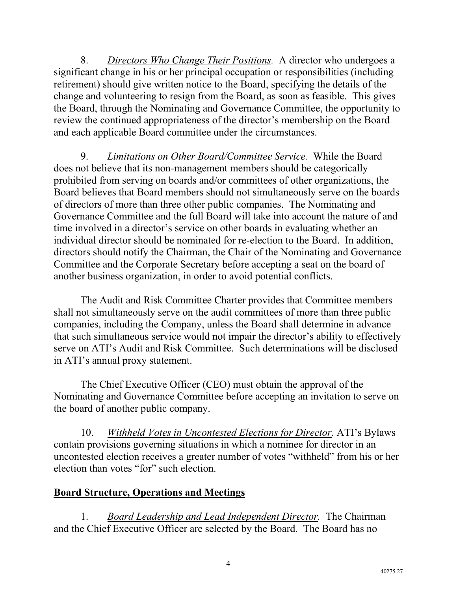8. *Directors Who Change Their Positions.* A director who undergoes a significant change in his or her principal occupation or responsibilities (including retirement) should give written notice to the Board, specifying the details of the change and volunteering to resign from the Board, as soon as feasible. This gives the Board, through the Nominating and Governance Committee, the opportunity to review the continued appropriateness of the director's membership on the Board and each applicable Board committee under the circumstances.

9. *Limitations on Other Board/Committee Service.* While the Board does not believe that its non-management members should be categorically prohibited from serving on boards and/or committees of other organizations, the Board believes that Board members should not simultaneously serve on the boards of directors of more than three other public companies. The Nominating and Governance Committee and the full Board will take into account the nature of and time involved in a director's service on other boards in evaluating whether an individual director should be nominated for re-election to the Board. In addition, directors should notify the Chairman, the Chair of the Nominating and Governance Committee and the Corporate Secretary before accepting a seat on the board of another business organization, in order to avoid potential conflicts.

The Audit and Risk Committee Charter provides that Committee members shall not simultaneously serve on the audit committees of more than three public companies, including the Company, unless the Board shall determine in advance that such simultaneous service would not impair the director's ability to effectively serve on ATI's Audit and Risk Committee. Such determinations will be disclosed in ATI's annual proxy statement.

The Chief Executive Officer (CEO) must obtain the approval of the Nominating and Governance Committee before accepting an invitation to serve on the board of another public company.

10. *Withheld Votes in Uncontested Elections for Director.* ATI's Bylaws contain provisions governing situations in which a nominee for director in an uncontested election receives a greater number of votes "withheld" from his or her election than votes "for" such election.

## **Board Structure, Operations and Meetings**

1. *Board Leadership and Lead Independent Director.* The Chairman and the Chief Executive Officer are selected by the Board. The Board has no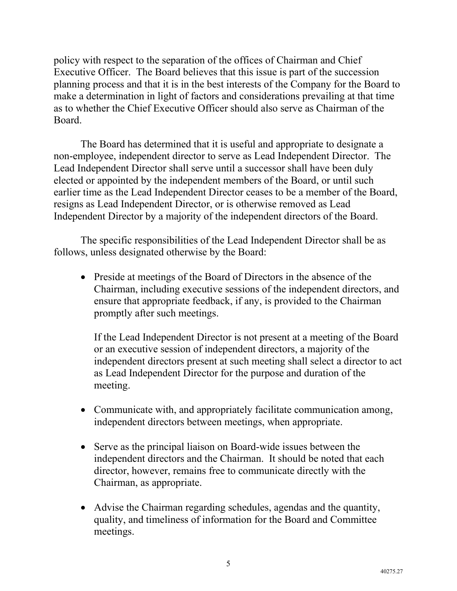policy with respect to the separation of the offices of Chairman and Chief Executive Officer. The Board believes that this issue is part of the succession planning process and that it is in the best interests of the Company for the Board to make a determination in light of factors and considerations prevailing at that time as to whether the Chief Executive Officer should also serve as Chairman of the Board.

The Board has determined that it is useful and appropriate to designate a non-employee, independent director to serve as Lead Independent Director. The Lead Independent Director shall serve until a successor shall have been duly elected or appointed by the independent members of the Board, or until such earlier time as the Lead Independent Director ceases to be a member of the Board, resigns as Lead Independent Director, or is otherwise removed as Lead Independent Director by a majority of the independent directors of the Board.

The specific responsibilities of the Lead Independent Director shall be as follows, unless designated otherwise by the Board:

• Preside at meetings of the Board of Directors in the absence of the Chairman, including executive sessions of the independent directors, and ensure that appropriate feedback, if any, is provided to the Chairman promptly after such meetings.

If the Lead Independent Director is not present at a meeting of the Board or an executive session of independent directors, a majority of the independent directors present at such meeting shall select a director to act as Lead Independent Director for the purpose and duration of the meeting.

- Communicate with, and appropriately facilitate communication among, independent directors between meetings, when appropriate.
- Serve as the principal liaison on Board-wide issues between the independent directors and the Chairman. It should be noted that each director, however, remains free to communicate directly with the Chairman, as appropriate.
- Advise the Chairman regarding schedules, agendas and the quantity, quality, and timeliness of information for the Board and Committee meetings.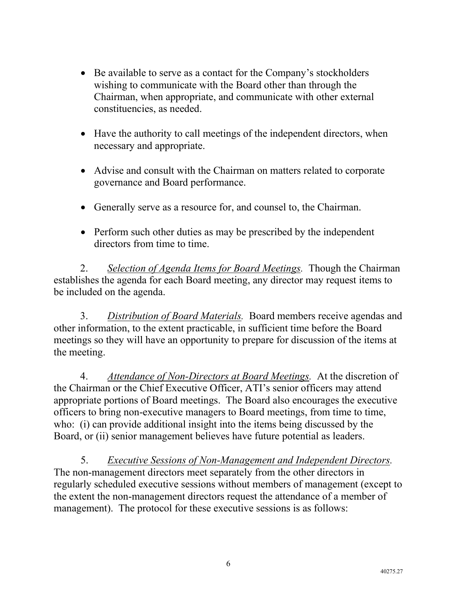- Be available to serve as a contact for the Company's stockholders wishing to communicate with the Board other than through the Chairman, when appropriate, and communicate with other external constituencies, as needed.
- Have the authority to call meetings of the independent directors, when necessary and appropriate.
- Advise and consult with the Chairman on matters related to corporate governance and Board performance.
- Generally serve as a resource for, and counsel to, the Chairman.
- Perform such other duties as may be prescribed by the independent directors from time to time.

2. *Selection of Agenda Items for Board Meetings.* Though the Chairman establishes the agenda for each Board meeting, any director may request items to be included on the agenda.

3. *Distribution of Board Materials.* Board members receive agendas and other information, to the extent practicable, in sufficient time before the Board meetings so they will have an opportunity to prepare for discussion of the items at the meeting.

4. *Attendance of Non-Directors at Board Meetings.* At the discretion of the Chairman or the Chief Executive Officer, ATI's senior officers may attend appropriate portions of Board meetings. The Board also encourages the executive officers to bring non-executive managers to Board meetings, from time to time, who: (i) can provide additional insight into the items being discussed by the Board, or (ii) senior management believes have future potential as leaders.

5. *Executive Sessions of Non-Management and Independent Directors.* The non-management directors meet separately from the other directors in regularly scheduled executive sessions without members of management (except to the extent the non-management directors request the attendance of a member of management). The protocol for these executive sessions is as follows: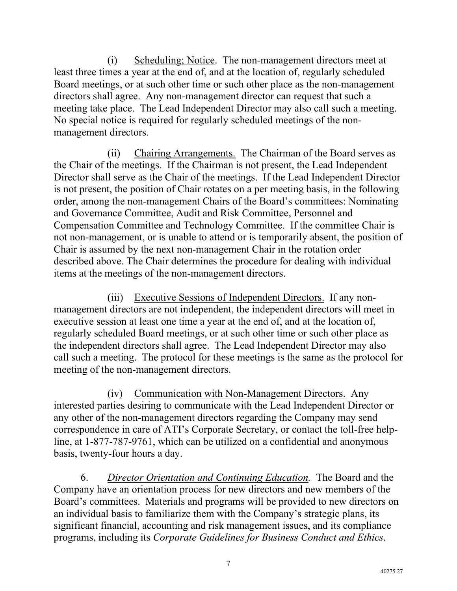(i) Scheduling; Notice. The non-management directors meet at least three times a year at the end of, and at the location of, regularly scheduled Board meetings, or at such other time or such other place as the non-management directors shall agree. Any non-management director can request that such a meeting take place. The Lead Independent Director may also call such a meeting. No special notice is required for regularly scheduled meetings of the nonmanagement directors.

(ii) Chairing Arrangements. The Chairman of the Board serves as the Chair of the meetings. If the Chairman is not present, the Lead Independent Director shall serve as the Chair of the meetings. If the Lead Independent Director is not present, the position of Chair rotates on a per meeting basis, in the following order, among the non-management Chairs of the Board's committees: Nominating and Governance Committee, Audit and Risk Committee, Personnel and Compensation Committee and Technology Committee. If the committee Chair is not non-management, or is unable to attend or is temporarily absent, the position of Chair is assumed by the next non-management Chair in the rotation order described above. The Chair determines the procedure for dealing with individual items at the meetings of the non-management directors.

(iii) Executive Sessions of Independent Directors. If any nonmanagement directors are not independent, the independent directors will meet in executive session at least one time a year at the end of, and at the location of, regularly scheduled Board meetings, or at such other time or such other place as the independent directors shall agree. The Lead Independent Director may also call such a meeting. The protocol for these meetings is the same as the protocol for meeting of the non-management directors.

(iv) Communication with Non-Management Directors. Any interested parties desiring to communicate with the Lead Independent Director or any other of the non-management directors regarding the Company may send correspondence in care of ATI's Corporate Secretary, or contact the toll-free helpline, at 1-877-787-9761, which can be utilized on a confidential and anonymous basis, twenty-four hours a day.

6. *Director Orientation and Continuing Education.* The Board and the Company have an orientation process for new directors and new members of the Board's committees. Materials and programs will be provided to new directors on an individual basis to familiarize them with the Company's strategic plans, its significant financial, accounting and risk management issues, and its compliance programs, including its *Corporate Guidelines for Business Conduct and Ethics*.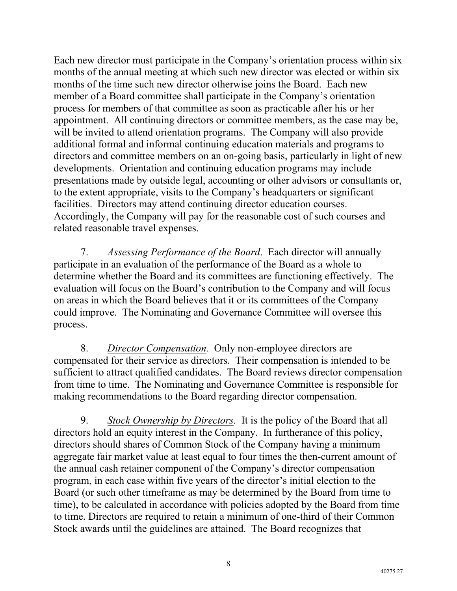Each new director must participate in the Company's orientation process within six months of the annual meeting at which such new director was elected or within six months of the time such new director otherwise joins the Board. Each new member of a Board committee shall participate in the Company's orientation process for members of that committee as soon as practicable after his or her appointment. All continuing directors or committee members, as the case may be, will be invited to attend orientation programs. The Company will also provide additional formal and informal continuing education materials and programs to directors and committee members on an on-going basis, particularly in light of new developments. Orientation and continuing education programs may include presentations made by outside legal, accounting or other advisors or consultants or, to the extent appropriate, visits to the Company's headquarters or significant facilities. Directors may attend continuing director education courses. Accordingly, the Company will pay for the reasonable cost of such courses and related reasonable travel expenses.

7. *Assessing Performance of the Board*. Each director will annually participate in an evaluation of the performance of the Board as a whole to determine whether the Board and its committees are functioning effectively. The evaluation will focus on the Board's contribution to the Company and will focus on areas in which the Board believes that it or its committees of the Company could improve. The Nominating and Governance Committee will oversee this process.

8. *Director Compensation.* Only non-employee directors are compensated for their service as directors. Their compensation is intended to be sufficient to attract qualified candidates. The Board reviews director compensation from time to time. The Nominating and Governance Committee is responsible for making recommendations to the Board regarding director compensation.

9. *Stock Ownership by Directors.* It is the policy of the Board that all directors hold an equity interest in the Company. In furtherance of this policy, directors should shares of Common Stock of the Company having a minimum aggregate fair market value at least equal to four times the then-current amount of the annual cash retainer component of the Company's director compensation program, in each case within five years of the director's initial election to the Board (or such other timeframe as may be determined by the Board from time to time), to be calculated in accordance with policies adopted by the Board from time to time. Directors are required to retain a minimum of one-third of their Common Stock awards until the guidelines are attained. The Board recognizes that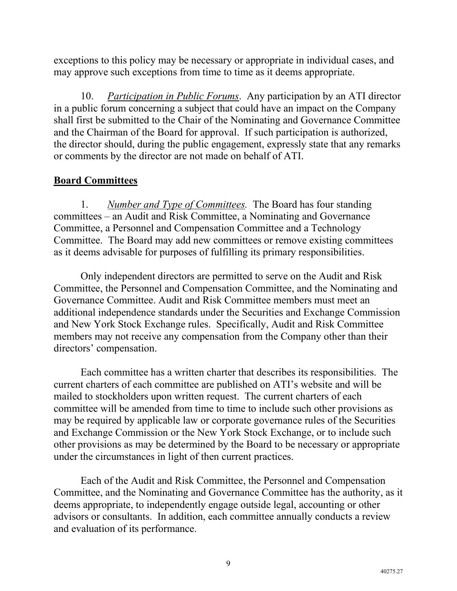exceptions to this policy may be necessary or appropriate in individual cases, and may approve such exceptions from time to time as it deems appropriate.

10. *Participation in Public Forums*. Any participation by an ATI director in a public forum concerning a subject that could have an impact on the Company shall first be submitted to the Chair of the Nominating and Governance Committee and the Chairman of the Board for approval. If such participation is authorized, the director should, during the public engagement, expressly state that any remarks or comments by the director are not made on behalf of ATI.

## **Board Committees**

1. *Number and Type of Committees.* The Board has four standing committees – an Audit and Risk Committee, a Nominating and Governance Committee, a Personnel and Compensation Committee and a Technology Committee. The Board may add new committees or remove existing committees as it deems advisable for purposes of fulfilling its primary responsibilities.

Only independent directors are permitted to serve on the Audit and Risk Committee, the Personnel and Compensation Committee, and the Nominating and Governance Committee. Audit and Risk Committee members must meet an additional independence standards under the Securities and Exchange Commission and New York Stock Exchange rules. Specifically, Audit and Risk Committee members may not receive any compensation from the Company other than their directors' compensation.

Each committee has a written charter that describes its responsibilities. The current charters of each committee are published on ATI's website and will be mailed to stockholders upon written request. The current charters of each committee will be amended from time to time to include such other provisions as may be required by applicable law or corporate governance rules of the Securities and Exchange Commission or the New York Stock Exchange, or to include such other provisions as may be determined by the Board to be necessary or appropriate under the circumstances in light of then current practices.

Each of the Audit and Risk Committee, the Personnel and Compensation Committee, and the Nominating and Governance Committee has the authority, as it deems appropriate, to independently engage outside legal, accounting or other advisors or consultants. In addition, each committee annually conducts a review and evaluation of its performance.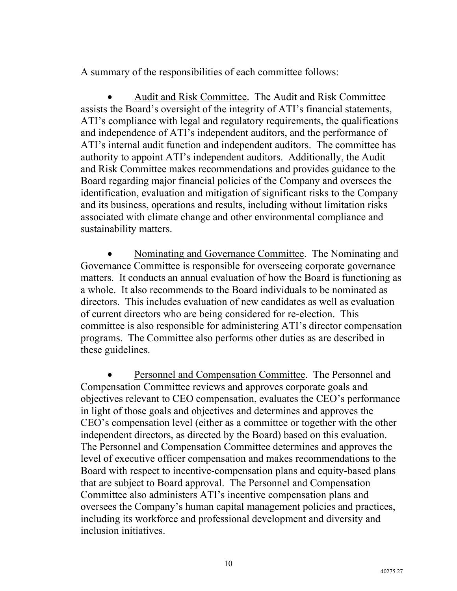A summary of the responsibilities of each committee follows:

• Audit and Risk Committee. The Audit and Risk Committee assists the Board's oversight of the integrity of ATI's financial statements, ATI's compliance with legal and regulatory requirements, the qualifications and independence of ATI's independent auditors, and the performance of ATI's internal audit function and independent auditors. The committee has authority to appoint ATI's independent auditors. Additionally, the Audit and Risk Committee makes recommendations and provides guidance to the Board regarding major financial policies of the Company and oversees the identification, evaluation and mitigation of significant risks to the Company and its business, operations and results, including without limitation risks associated with climate change and other environmental compliance and sustainability matters.

• Nominating and Governance Committee. The Nominating and Governance Committee is responsible for overseeing corporate governance matters. It conducts an annual evaluation of how the Board is functioning as a whole. It also recommends to the Board individuals to be nominated as directors. This includes evaluation of new candidates as well as evaluation of current directors who are being considered for re-election. This committee is also responsible for administering ATI's director compensation programs. The Committee also performs other duties as are described in these guidelines.

• Personnel and Compensation Committee. The Personnel and Compensation Committee reviews and approves corporate goals and objectives relevant to CEO compensation, evaluates the CEO's performance in light of those goals and objectives and determines and approves the CEO's compensation level (either as a committee or together with the other independent directors, as directed by the Board) based on this evaluation. The Personnel and Compensation Committee determines and approves the level of executive officer compensation and makes recommendations to the Board with respect to incentive-compensation plans and equity-based plans that are subject to Board approval. The Personnel and Compensation Committee also administers ATI's incentive compensation plans and oversees the Company's human capital management policies and practices, including its workforce and professional development and diversity and inclusion initiatives.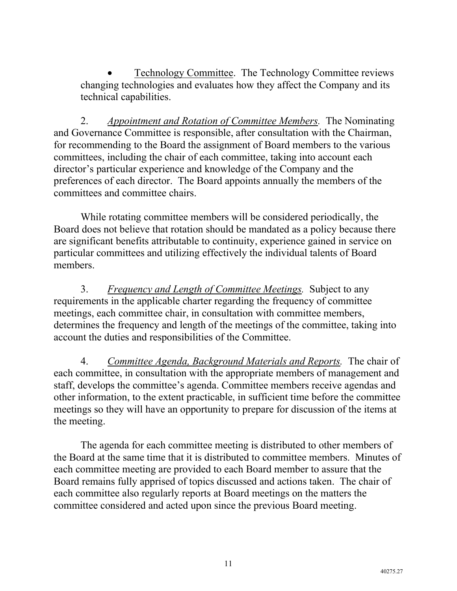• Technology Committee. The Technology Committee reviews changing technologies and evaluates how they affect the Company and its technical capabilities.

2. *Appointment and Rotation of Committee Members.* The Nominating and Governance Committee is responsible, after consultation with the Chairman, for recommending to the Board the assignment of Board members to the various committees, including the chair of each committee, taking into account each director's particular experience and knowledge of the Company and the preferences of each director. The Board appoints annually the members of the committees and committee chairs.

While rotating committee members will be considered periodically, the Board does not believe that rotation should be mandated as a policy because there are significant benefits attributable to continuity, experience gained in service on particular committees and utilizing effectively the individual talents of Board members.

3. *Frequency and Length of Committee Meetings.* Subject to any requirements in the applicable charter regarding the frequency of committee meetings, each committee chair, in consultation with committee members, determines the frequency and length of the meetings of the committee, taking into account the duties and responsibilities of the Committee.

4. *Committee Agenda, Background Materials and Reports.* The chair of each committee, in consultation with the appropriate members of management and staff, develops the committee's agenda. Committee members receive agendas and other information, to the extent practicable, in sufficient time before the committee meetings so they will have an opportunity to prepare for discussion of the items at the meeting.

The agenda for each committee meeting is distributed to other members of the Board at the same time that it is distributed to committee members. Minutes of each committee meeting are provided to each Board member to assure that the Board remains fully apprised of topics discussed and actions taken. The chair of each committee also regularly reports at Board meetings on the matters the committee considered and acted upon since the previous Board meeting.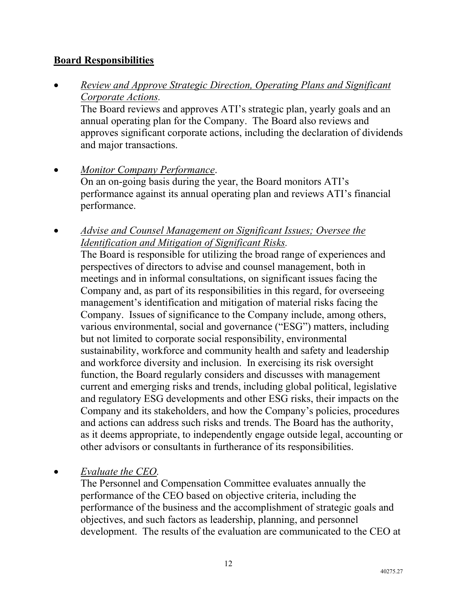## **Board Responsibilities**

• *Review and Approve Strategic Direction, Operating Plans and Significant Corporate Actions.*

The Board reviews and approves ATI's strategic plan, yearly goals and an annual operating plan for the Company. The Board also reviews and approves significant corporate actions, including the declaration of dividends and major transactions.

- *Monitor Company Performance*. On an on-going basis during the year, the Board monitors ATI's performance against its annual operating plan and reviews ATI's financial performance.
- *Advise and Counsel Management on Significant Issues; Oversee the Identification and Mitigation of Significant Risks.*

The Board is responsible for utilizing the broad range of experiences and perspectives of directors to advise and counsel management, both in meetings and in informal consultations, on significant issues facing the Company and, as part of its responsibilities in this regard, for overseeing management's identification and mitigation of material risks facing the Company. Issues of significance to the Company include, among others, various environmental, social and governance ("ESG") matters, including but not limited to corporate social responsibility, environmental sustainability, workforce and community health and safety and leadership and workforce diversity and inclusion. In exercising its risk oversight function, the Board regularly considers and discusses with management current and emerging risks and trends, including global political, legislative and regulatory ESG developments and other ESG risks, their impacts on the Company and its stakeholders, and how the Company's policies, procedures and actions can address such risks and trends. The Board has the authority, as it deems appropriate, to independently engage outside legal, accounting or other advisors or consultants in furtherance of its responsibilities.

## • *Evaluate the CEO.*

The Personnel and Compensation Committee evaluates annually the performance of the CEO based on objective criteria, including the performance of the business and the accomplishment of strategic goals and objectives, and such factors as leadership, planning, and personnel development. The results of the evaluation are communicated to the CEO at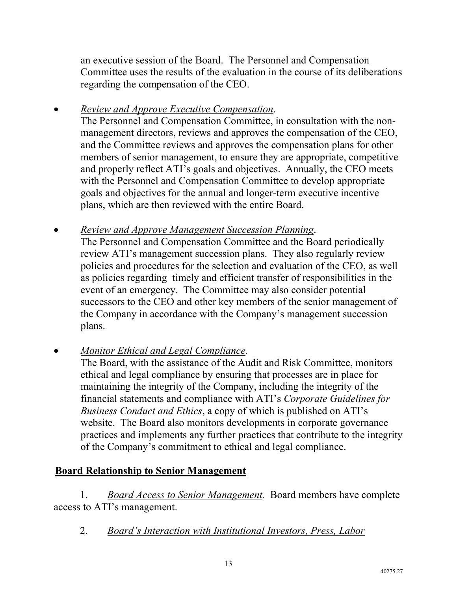an executive session of the Board. The Personnel and Compensation Committee uses the results of the evaluation in the course of its deliberations regarding the compensation of the CEO.

• *Review and Approve Executive Compensation*.

The Personnel and Compensation Committee, in consultation with the nonmanagement directors, reviews and approves the compensation of the CEO, and the Committee reviews and approves the compensation plans for other members of senior management, to ensure they are appropriate, competitive and properly reflect ATI's goals and objectives. Annually, the CEO meets with the Personnel and Compensation Committee to develop appropriate goals and objectives for the annual and longer-term executive incentive plans, which are then reviewed with the entire Board.

- *Review and Approve Management Succession Planning*. The Personnel and Compensation Committee and the Board periodically review ATI's management succession plans. They also regularly review policies and procedures for the selection and evaluation of the CEO, as well as policies regarding timely and efficient transfer of responsibilities in the event of an emergency. The Committee may also consider potential successors to the CEO and other key members of the senior management of the Company in accordance with the Company's management succession plans.
- *Monitor Ethical and Legal Compliance.*

The Board, with the assistance of the Audit and Risk Committee, monitors ethical and legal compliance by ensuring that processes are in place for maintaining the integrity of the Company, including the integrity of the financial statements and compliance with ATI's *Corporate Guidelines for Business Conduct and Ethics*, a copy of which is published on ATI's website. The Board also monitors developments in corporate governance practices and implements any further practices that contribute to the integrity of the Company's commitment to ethical and legal compliance.

# **Board Relationship to Senior Management**

1. *Board Access to Senior Management.* Board members have complete access to ATI's management.

2. *Board's Interaction with Institutional Investors, Press, Labor*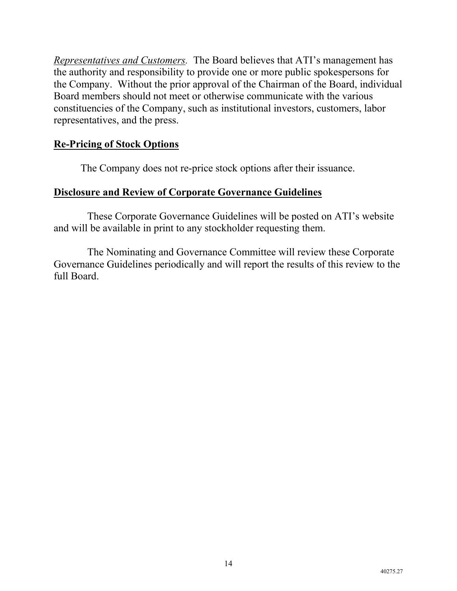*Representatives and Customers.* The Board believes that ATI's management has the authority and responsibility to provide one or more public spokespersons for the Company. Without the prior approval of the Chairman of the Board, individual Board members should not meet or otherwise communicate with the various constituencies of the Company, such as institutional investors, customers, labor representatives, and the press.

## **Re-Pricing of Stock Options**

The Company does not re-price stock options after their issuance.

## **Disclosure and Review of Corporate Governance Guidelines**

These Corporate Governance Guidelines will be posted on ATI's website and will be available in print to any stockholder requesting them.

The Nominating and Governance Committee will review these Corporate Governance Guidelines periodically and will report the results of this review to the full Board.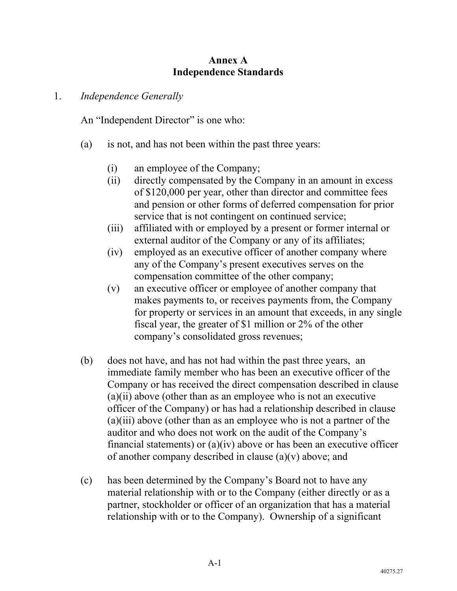### **Annex A Independence Standards**

#### 1. *Independence Generally*

An "Independent Director" is one who:

- (a) is not, and has not been within the past three years:
	- (i) an employee of the Company;
	- (ii) directly compensated by the Company in an amount in excess of \$120,000 per year, other than director and committee fees and pension or other forms of deferred compensation for prior service that is not contingent on continued service;
	- (iii) affiliated with or employed by a present or former internal or external auditor of the Company or any of its affiliates;
	- (iv) employed as an executive officer of another company where any of the Company's present executives serves on the compensation committee of the other company;
	- (v) an executive officer or employee of another company that makes payments to, or receives payments from, the Company for property or services in an amount that exceeds, in any single fiscal year, the greater of \$1 million or 2% of the other company's consolidated gross revenues;
- (b) does not have, and has not had within the past three years, an immediate family member who has been an executive officer of the Company or has received the direct compensation described in clause  $(a)(ii)$  above (other than as an employee who is not an executive officer of the Company) or has had a relationship described in clause (a)(iii) above (other than as an employee who is not a partner of the auditor and who does not work on the audit of the Company's financial statements) or  $(a)(iv)$  above or has been an executive officer of another company described in clause (a)(v) above; and
- (c) has been determined by the Company's Board not to have any material relationship with or to the Company (either directly or as a partner, stockholder or officer of an organization that has a material relationship with or to the Company). Ownership of a significant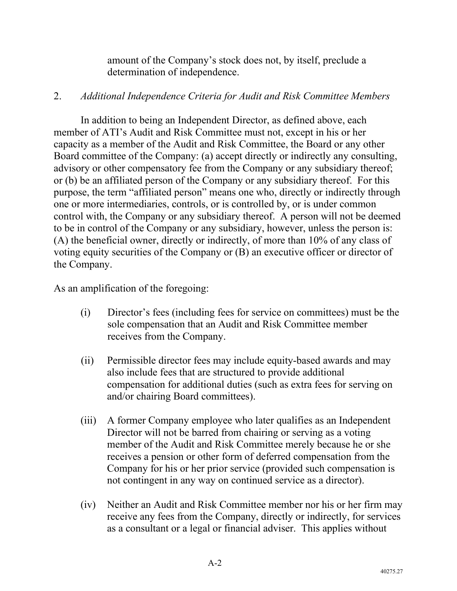amount of the Company's stock does not, by itself, preclude a determination of independence.

#### 2. *Additional Independence Criteria for Audit and Risk Committee Members*

In addition to being an Independent Director, as defined above, each member of ATI's Audit and Risk Committee must not, except in his or her capacity as a member of the Audit and Risk Committee, the Board or any other Board committee of the Company: (a) accept directly or indirectly any consulting, advisory or other compensatory fee from the Company or any subsidiary thereof; or (b) be an affiliated person of the Company or any subsidiary thereof. For this purpose, the term "affiliated person" means one who, directly or indirectly through one or more intermediaries, controls, or is controlled by, or is under common control with, the Company or any subsidiary thereof. A person will not be deemed to be in control of the Company or any subsidiary, however, unless the person is: (A) the beneficial owner, directly or indirectly, of more than 10% of any class of voting equity securities of the Company or (B) an executive officer or director of the Company.

As an amplification of the foregoing:

- (i) Director's fees (including fees for service on committees) must be the sole compensation that an Audit and Risk Committee member receives from the Company.
- (ii) Permissible director fees may include equity-based awards and may also include fees that are structured to provide additional compensation for additional duties (such as extra fees for serving on and/or chairing Board committees).
- (iii) A former Company employee who later qualifies as an Independent Director will not be barred from chairing or serving as a voting member of the Audit and Risk Committee merely because he or she receives a pension or other form of deferred compensation from the Company for his or her prior service (provided such compensation is not contingent in any way on continued service as a director).
- (iv) Neither an Audit and Risk Committee member nor his or her firm may receive any fees from the Company, directly or indirectly, for services as a consultant or a legal or financial adviser. This applies without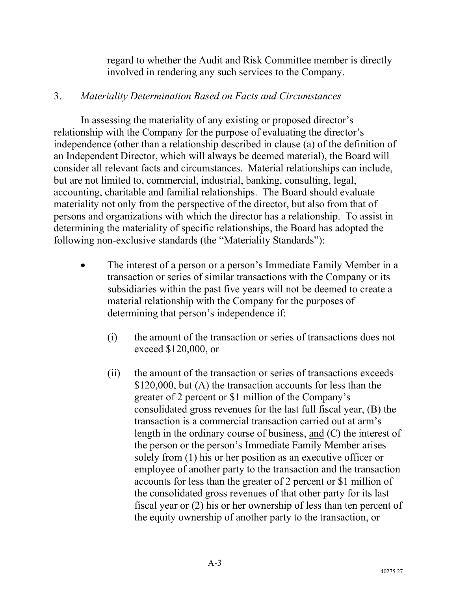regard to whether the Audit and Risk Committee member is directly involved in rendering any such services to the Company.

### 3. *Materiality Determination Based on Facts and Circumstances*

In assessing the materiality of any existing or proposed director's relationship with the Company for the purpose of evaluating the director's independence (other than a relationship described in clause (a) of the definition of an Independent Director, which will always be deemed material), the Board will consider all relevant facts and circumstances. Material relationships can include, but are not limited to, commercial, industrial, banking, consulting, legal, accounting, charitable and familial relationships. The Board should evaluate materiality not only from the perspective of the director, but also from that of persons and organizations with which the director has a relationship. To assist in determining the materiality of specific relationships, the Board has adopted the following non-exclusive standards (the "Materiality Standards"):

- The interest of a person or a person's Immediate Family Member in a transaction or series of similar transactions with the Company or its subsidiaries within the past five years will not be deemed to create a material relationship with the Company for the purposes of determining that person's independence if:
	- (i) the amount of the transaction or series of transactions does not exceed \$120,000, or
	- (ii) the amount of the transaction or series of transactions exceeds \$120,000, but (A) the transaction accounts for less than the greater of 2 percent or \$1 million of the Company's consolidated gross revenues for the last full fiscal year, (B) the transaction is a commercial transaction carried out at arm's length in the ordinary course of business, and (C) the interest of the person or the person's Immediate Family Member arises solely from (1) his or her position as an executive officer or employee of another party to the transaction and the transaction accounts for less than the greater of 2 percent or \$1 million of the consolidated gross revenues of that other party for its last fiscal year or (2) his or her ownership of less than ten percent of the equity ownership of another party to the transaction, or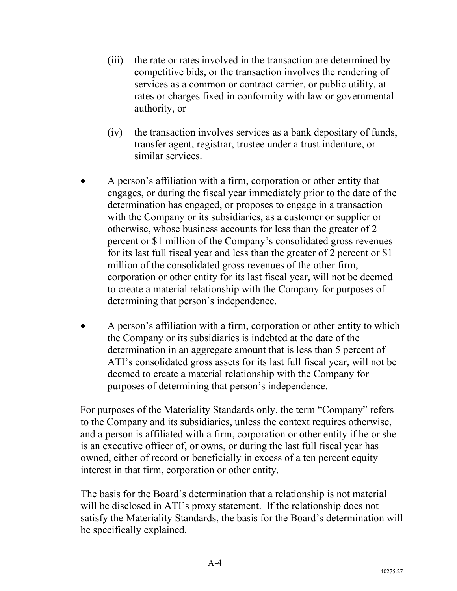- (iii) the rate or rates involved in the transaction are determined by competitive bids, or the transaction involves the rendering of services as a common or contract carrier, or public utility, at rates or charges fixed in conformity with law or governmental authority, or
- (iv) the transaction involves services as a bank depositary of funds, transfer agent, registrar, trustee under a trust indenture, or similar services.
- A person's affiliation with a firm, corporation or other entity that engages, or during the fiscal year immediately prior to the date of the determination has engaged, or proposes to engage in a transaction with the Company or its subsidiaries, as a customer or supplier or otherwise, whose business accounts for less than the greater of 2 percent or \$1 million of the Company's consolidated gross revenues for its last full fiscal year and less than the greater of 2 percent or \$1 million of the consolidated gross revenues of the other firm, corporation or other entity for its last fiscal year, will not be deemed to create a material relationship with the Company for purposes of determining that person's independence.
- A person's affiliation with a firm, corporation or other entity to which the Company or its subsidiaries is indebted at the date of the determination in an aggregate amount that is less than 5 percent of ATI's consolidated gross assets for its last full fiscal year, will not be deemed to create a material relationship with the Company for purposes of determining that person's independence.

For purposes of the Materiality Standards only, the term "Company" refers to the Company and its subsidiaries, unless the context requires otherwise, and a person is affiliated with a firm, corporation or other entity if he or she is an executive officer of, or owns, or during the last full fiscal year has owned, either of record or beneficially in excess of a ten percent equity interest in that firm, corporation or other entity.

The basis for the Board's determination that a relationship is not material will be disclosed in ATI's proxy statement. If the relationship does not satisfy the Materiality Standards, the basis for the Board's determination will be specifically explained.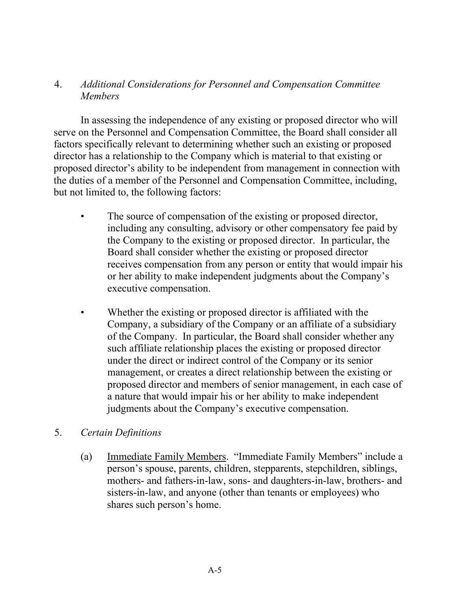## 4. *Additional Considerations for Personnel and Compensation Committee Members*

In assessing the independence of any existing or proposed director who will serve on the Personnel and Compensation Committee, the Board shall consider all factors specifically relevant to determining whether such an existing or proposed director has a relationship to the Company which is material to that existing or proposed director's ability to be independent from management in connection with the duties of a member of the Personnel and Compensation Committee, including, but not limited to, the following factors:

- The source of compensation of the existing or proposed director, including any consulting, advisory or other compensatory fee paid by the Company to the existing or proposed director. In particular, the Board shall consider whether the existing or proposed director receives compensation from any person or entity that would impair his or her ability to make independent judgments about the Company's executive compensation.
- Whether the existing or proposed director is affiliated with the Company, a subsidiary of the Company or an affiliate of a subsidiary of the Company. In particular, the Board shall consider whether any such affiliate relationship places the existing or proposed director under the direct or indirect control of the Company or its senior management, or creates a direct relationship between the existing or proposed director and members of senior management, in each case of a nature that would impair his or her ability to make independent judgments about the Company's executive compensation.

### 5. *Certain Definitions*

(a) Immediate Family Members. "Immediate Family Members" include a person's spouse, parents, children, stepparents, stepchildren, siblings, mothers- and fathers-in-law, sons- and daughters-in-law, brothers- and sisters-in-law, and anyone (other than tenants or employees) who shares such person's home.